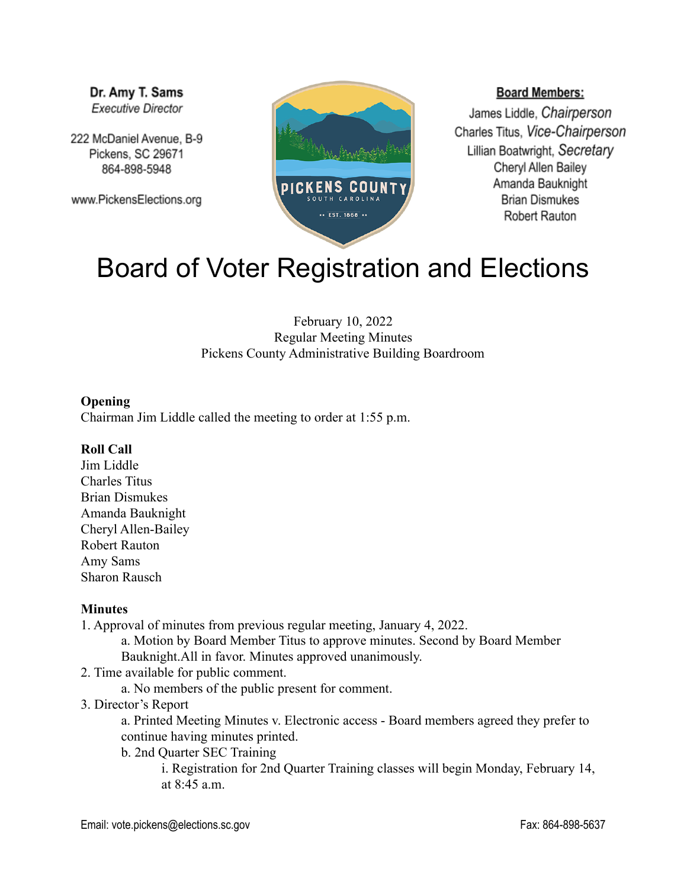Dr. Amy T. Sams **Executive Director** 

222 McDaniel Avenue, B-9 Pickens, SC 29671 864-898-5948

www.PickensElections.org



### **Board Members:**

James Liddle, Chairperson Charles Titus, Vice-Chairperson Lillian Boatwright, Secretary Cheryl Allen Bailey Amanda Bauknight **Brian Dismukes** Robert Rauton

# Board of Voter Registration and Elections

February 10, 2022 Regular Meeting Minutes Pickens County Administrative Building Boardroom

#### **Opening**

Chairman Jim Liddle called the meeting to order at 1:55 p.m.

#### **Roll Call**

Jim Liddle Charles Titus Brian Dismukes Amanda Bauknight Cheryl Allen-Bailey Robert Rauton Amy Sams Sharon Rausch

#### **Minutes**

1. Approval of minutes from previous regular meeting, January 4, 2022.

a. Motion by Board Member Titus to approve minutes. Second by Board Member Bauknight.All in favor. Minutes approved unanimously.

- 2. Time available for public comment.
	- a. No members of the public present for comment.
- 3. Director's Report

a. Printed Meeting Minutes v. Electronic access - Board members agreed they prefer to continue having minutes printed.

b. 2nd Quarter SEC Training

i. Registration for 2nd Quarter Training classes will begin Monday, February 14, at 8:45 a.m.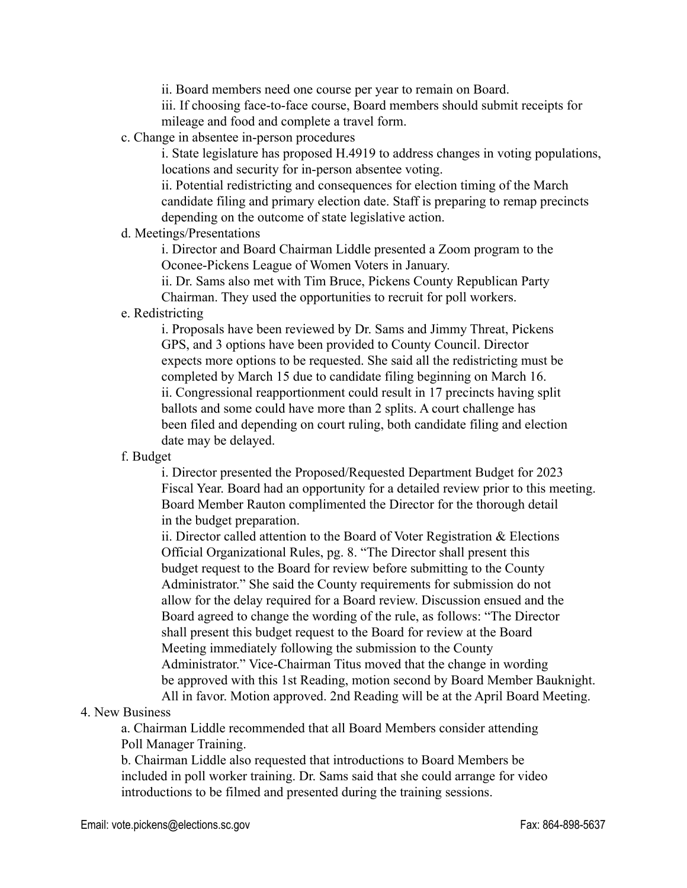ii. Board members need one course per year to remain on Board.

iii. If choosing face-to-face course, Board members should submit receipts for mileage and food and complete a travel form.

c. Change in absentee in-person procedures

i. State legislature has proposed H.4919 to address changes in voting populations, locations and security for in-person absentee voting.

ii. Potential redistricting and consequences for election timing of the March candidate filing and primary election date. Staff is preparing to remap precincts depending on the outcome of state legislative action.

#### d. Meetings/Presentations

i. Director and Board Chairman Liddle presented a Zoom program to the Oconee-Pickens League of Women Voters in January.

ii. Dr. Sams also met with Tim Bruce, Pickens County Republican Party Chairman. They used the opportunities to recruit for poll workers.

e. Redistricting

i. Proposals have been reviewed by Dr. Sams and Jimmy Threat, Pickens GPS, and 3 options have been provided to County Council. Director expects more options to be requested. She said all the redistricting must be completed by March 15 due to candidate filing beginning on March 16. ii. Congressional reapportionment could result in 17 precincts having split ballots and some could have more than 2 splits. A court challenge has been filed and depending on court ruling, both candidate filing and election date may be delayed.

## f. Budget

i. Director presented the Proposed/Requested Department Budget for 2023 Fiscal Year. Board had an opportunity for a detailed review prior to this meeting. Board Member Rauton complimented the Director for the thorough detail in the budget preparation.

ii. Director called attention to the Board of Voter Registration & Elections Official Organizational Rules, pg. 8. "The Director shall present this budget request to the Board for review before submitting to the County Administrator." She said the County requirements for submission do not allow for the delay required for a Board review. Discussion ensued and the Board agreed to change the wording of the rule, as follows: "The Director shall present this budget request to the Board for review at the Board Meeting immediately following the submission to the County Administrator." Vice-Chairman Titus moved that the change in wording be approved with this 1st Reading, motion second by Board Member Bauknight. All in favor. Motion approved. 2nd Reading will be at the April Board Meeting.

## 4. New Business

a. Chairman Liddle recommended that all Board Members consider attending Poll Manager Training.

b. Chairman Liddle also requested that introductions to Board Members be included in poll worker training. Dr. Sams said that she could arrange for video introductions to be filmed and presented during the training sessions.